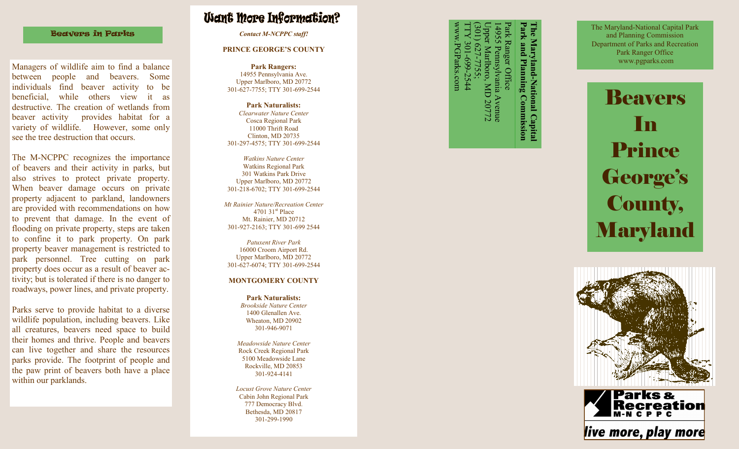#### Beavers in Parks

Managers of wildlife aim to find a balance between people and beavers. Some individuals find beaver activity to be beneficial, while others view it as destructive. The creation of wetlands from beaver activity provides habitat for a variety of wildlife. However, some only see the tree destruction that occurs.

The M -NCPPC recognizes the importance of beavers and their activity in parks, but also strives to protect private property. When beaver damage occurs on private property adjacent to parkland, landowners are provided with recommendations on how to prevent that damage. In the event of flooding on private property, steps are taken to confine it to park property. On park property beaver management is restricted to park personnel. Tree cutting on park property does occur as a result of beaver activity; but is tolerated if there is no danger to roadways, power lines, and private property.

Parks serve to provide habitat to a diverse wildlife population, including beavers. Like all creatures, beavers need space to build their homes and thrive. People and beavers can live together and share the resources parks provide. The footprint of people and the paw print of beavers both have a place within our parklands.

# **Want More Information?**

*Contact M-NCPPC staff!*

#### **PRINCE GEORGE'S COUNTY**

**Park Rangers:** 14955 Pennsylvania Ave. Upper Marlboro, MD 20772 301 -627 -7755; TTY 301 -699 -2544

**Park Naturalists:** *Clearwater Nature Center* Cosca Regional Park 11000 Thrift Road Clinton, MD 20735 301 -297 -4575; TTY 301 -699 -2544

*Watkins Nature Center* Watkins Regional Park 301 Watkins Park Drive Upper Marlboro, MD 20772 301 -218 -6702; TTY 301 -699 -2544

*Mt Rainier Nature/Recreation Center* 4701 31 $\mathrm{^{\text{st}}}$  Place Mt. Rainier, MD 20712 301 -927 -2163; TTY 301 -699 2544

*Patuxent River Park* 16000 Croom Airport Rd. Upper Marlboro, MD 20772 301 -627 -6074; TTY 301 -699 -2544

#### **MONTGOMERY COUNTY**

**Park Naturalists:** *Brookside Nature Center* 1400 Glenallen Ave. Wheaton, MD 20902 301 -946 -9071

*Meadowside Nature Center* Rock Creek Regional Park 5100 Meadowside Lane Rockville, MD 20853 301 -924 -4141

*Locust Grove Nature Center* Cabin John Regional Park 777 Democracy Blvd. Bethesda, MD 20817 301 -299 -1990

www.PGParks.com TTY 301-699-2544 (301) 627 Park Ranger Office<br>14955 Pemsylvanii<br>Upper Marlboro, M<br>(301) 627-7755; Upper Marlboro, MD 20772 14955 Pennsylvania Avenue ARIS.con Planning **Avenue**<br>D 20772

**Park and Planning Commission The Maryland-National Capital**  Maryland-National Capital<br>cand Planning Commission

The Maryland -National Capital Park and Planning Commission Department of Parks and Recreation Park Ranger Office www.pgparks.com